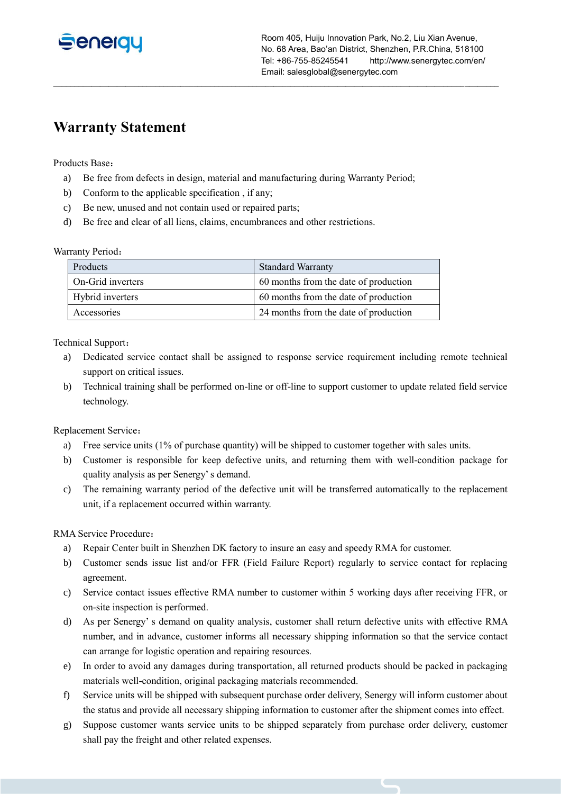

Room 405, Huiju Innovation Park, No.2, Liu Xian Avenue, No. 68 Area, Bao'an District, Shenzhen, P.R.China, 518100 Tel: +86-755-85245541 http://www.senergytec.com/en/ Email: salesglobal@senergytec.com

# **Warranty Statement**

Products Base:

a) Be free from defects in design, material and manufacturing during Warranty Period;

 $\_$  , and the set of the set of the set of the set of the set of the set of the set of the set of the set of the set of the set of the set of the set of the set of the set of the set of the set of the set of the set of th

- b) Conform to the applicable specification , if any;
- c) Be new, unused and not contain used or repaired parts;
- d) Be free and clear of all liens, claims, encumbrances and other restrictions.

#### Warranty Period:

| Products          | <b>Standard Warranty</b>              |
|-------------------|---------------------------------------|
| On-Grid inverters | 60 months from the date of production |
| Hybrid inverters  | 60 months from the date of production |
| Accessories       | 24 months from the date of production |

Technical Support:

- a) Dedicated service contact shall be assigned to response service requirement including remote technical support on critical issues.
- b) Technical training shall be performed on-line or off-line to support customer to update related field service technology.

Replacement Service:

- a) Free service units (1% of purchase quantity) will be shipped to customer together with sales units.
- b) Customer is responsible for keep defective units, and returning them with well-condition package for quality analysis as per Senergy' s demand.
- c) The remaining warranty period of the defective unit will be transferred automatically to the replacement unit, if a replacement occurred within warranty.

RMA Service Procedure:

- a) Repair Center built in Shenzhen DK factory to insure an easy and speedy RMA for customer.
- b) Customer sends issue list and/or FFR (Field Failure Report) regularly to service contact for replacing agreement.
- c) Service contact issues effective RMA number to customer within 5 working days after receiving FFR, or on-site inspection is performed.
- d) As per Senergy' s demand on quality analysis, customer shall return defective units with effective RMA number, and in advance, customer informs all necessary shipping information so that the service contact can arrange for logistic operation and repairing resources.
- e) In order to avoid any damages during transportation, all returned products should be packed in packaging materials well-condition, original packaging materials recommended.
- f) Service units will be shipped with subsequent purchase order delivery, Senergy will inform customer about the status and provide all necessary shipping information to customer after the shipment comes into effect.
- g) Suppose customer wants service units to be shipped separately from purchase order delivery, customer shall pay the freight and other related expenses.